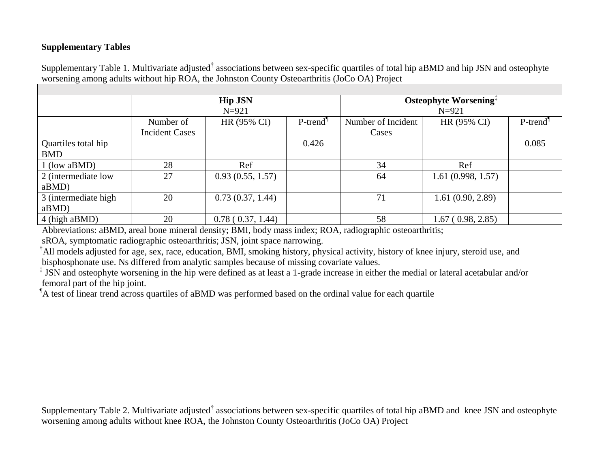## **Supplementary Tables**

Supplementary Table 1. Multivariate adjusted**†** associations between sex-specific quartiles of total hip aBMD and hip JSN and osteophyte worsening among adults without hip ROA, the Johnston County Osteoarthritis (JoCo OA) Project

|                      | <b>Hip JSN</b><br>$N = 921$ |                  |                                               | Osteophyte Worsening <sup>‡</sup><br>$N = 921$ |                   |                         |
|----------------------|-----------------------------|------------------|-----------------------------------------------|------------------------------------------------|-------------------|-------------------------|
|                      |                             |                  |                                               |                                                |                   |                         |
|                      | Number of                   | HR (95% CI)      | $P$ -trend <sup><math>\mathbb{I}</math></sup> | Number of Incident                             | HR (95% CI)       | $P$ -trend <sup>1</sup> |
|                      | <b>Incident Cases</b>       |                  |                                               | Cases                                          |                   |                         |
| Quartiles total hip  |                             |                  | 0.426                                         |                                                |                   | 0.085                   |
| <b>BMD</b>           |                             |                  |                                               |                                                |                   |                         |
| $1$ (low aBMD)       | 28                          | Ref              |                                               | 34                                             | Ref               |                         |
| 2 (intermediate low  | 27                          | 0.93(0.55, 1.57) |                                               | 64                                             | 1.61(0.998, 1.57) |                         |
| $aBMD$ )             |                             |                  |                                               |                                                |                   |                         |
| 3 (intermediate high | 20                          | 0.73(0.37, 1.44) |                                               | 71                                             | 1.61(0.90, 2.89)  |                         |
| $aBMD$ )             |                             |                  |                                               |                                                |                   |                         |
| 4 (high aBMD)        | 20                          | 0.78(0.37, 1.44) |                                               | 58                                             | 1.67(0.98, 2.85)  |                         |

Abbreviations: aBMD, areal bone mineral density; BMI, body mass index; ROA, radiographic osteoarthritis;

sROA, symptomatic radiographic osteoarthritis; JSN, joint space narrowing.

<sup>†</sup>All models adjusted for age, sex, race, education, BMI, smoking history, physical activity, history of knee injury, steroid use, and bisphosphonate use. Ns differed from analytic samples because of missing covariate values.

<sup>‡</sup> JSN and osteophyte worsening in the hip were defined as at least a 1-grade increase in either the medial or lateral acetabular and/or femoral part of the hip joint.

<sup>1</sup>A test of linear trend across quartiles of aBMD was performed based on the ordinal value for each quartile

Supplementary Table 2. Multivariate adjusted**†** associations between sex-specific quartiles of total hip aBMD and knee JSN and osteophyte worsening among adults without knee ROA, the Johnston County Osteoarthritis (JoCo OA) Project